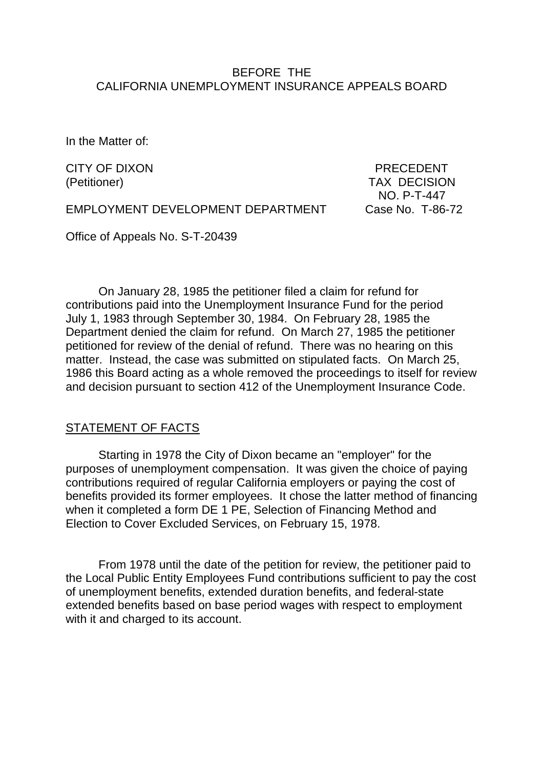#### BEFORE THE CALIFORNIA UNEMPLOYMENT INSURANCE APPEALS BOARD

In the Matter of:

CITY OF DIXON **PRECEDENT** 

(Petitioner) TAX DECISION NO. P-T-447

EMPLOYMENT DEVELOPMENT DEPARTMENT Case No. T-86-72

Office of Appeals No. S-T-20439

On January 28, 1985 the petitioner filed a claim for refund for contributions paid into the Unemployment Insurance Fund for the period July 1, 1983 through September 30, 1984. On February 28, 1985 the Department denied the claim for refund. On March 27, 1985 the petitioner petitioned for review of the denial of refund. There was no hearing on this matter. Instead, the case was submitted on stipulated facts. On March 25, 1986 this Board acting as a whole removed the proceedings to itself for review and decision pursuant to section 412 of the Unemployment Insurance Code.

## STATEMENT OF FACTS

Starting in 1978 the City of Dixon became an "employer" for the purposes of unemployment compensation. It was given the choice of paying contributions required of regular California employers or paying the cost of benefits provided its former employees. It chose the latter method of financing when it completed a form DE 1 PE, Selection of Financing Method and Election to Cover Excluded Services, on February 15, 1978.

From 1978 until the date of the petition for review, the petitioner paid to the Local Public Entity Employees Fund contributions sufficient to pay the cost of unemployment benefits, extended duration benefits, and federal-state extended benefits based on base period wages with respect to employment with it and charged to its account.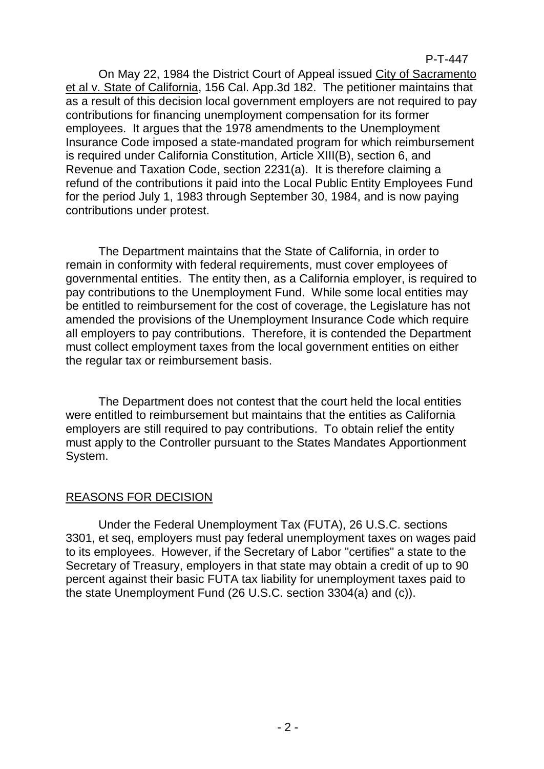On May 22, 1984 the District Court of Appeal issued City of Sacramento et al v. State of California, 156 Cal. App.3d 182. The petitioner maintains that as a result of this decision local government employers are not required to pay contributions for financing unemployment compensation for its former employees. It argues that the 1978 amendments to the Unemployment Insurance Code imposed a state-mandated program for which reimbursement is required under California Constitution, Article XIII(B), section 6, and Revenue and Taxation Code, section 2231(a). It is therefore claiming a refund of the contributions it paid into the Local Public Entity Employees Fund for the period July 1, 1983 through September 30, 1984, and is now paying contributions under protest.

The Department maintains that the State of California, in order to remain in conformity with federal requirements, must cover employees of governmental entities. The entity then, as a California employer, is required to pay contributions to the Unemployment Fund. While some local entities may be entitled to reimbursement for the cost of coverage, the Legislature has not amended the provisions of the Unemployment Insurance Code which require all employers to pay contributions. Therefore, it is contended the Department must collect employment taxes from the local government entities on either the regular tax or reimbursement basis.

The Department does not contest that the court held the local entities were entitled to reimbursement but maintains that the entities as California employers are still required to pay contributions. To obtain relief the entity must apply to the Controller pursuant to the States Mandates Apportionment System.

## REASONS FOR DECISION

Under the Federal Unemployment Tax (FUTA), 26 U.S.C. sections 3301, et seq, employers must pay federal unemployment taxes on wages paid to its employees. However, if the Secretary of Labor "certifies" a state to the Secretary of Treasury, employers in that state may obtain a credit of up to 90 percent against their basic FUTA tax liability for unemployment taxes paid to the state Unemployment Fund (26 U.S.C. section 3304(a) and (c)).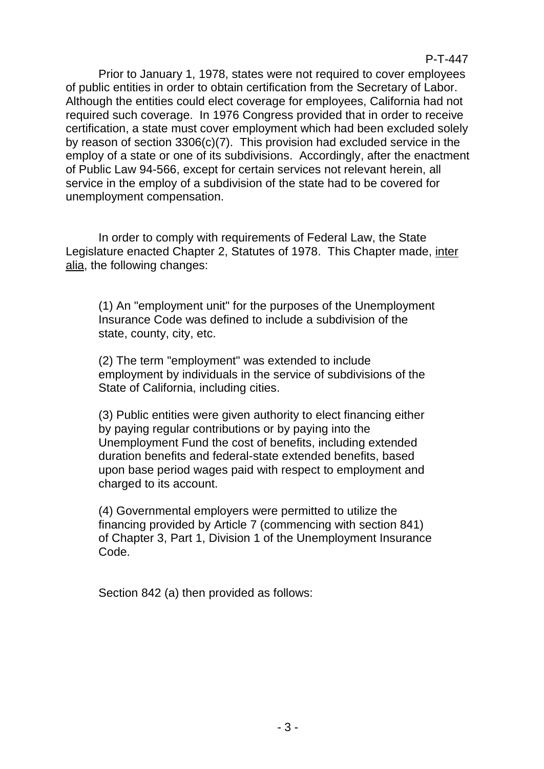Prior to January 1, 1978, states were not required to cover employees of public entities in order to obtain certification from the Secretary of Labor. Although the entities could elect coverage for employees, California had not required such coverage. In 1976 Congress provided that in order to receive certification, a state must cover employment which had been excluded solely by reason of section 3306(c)(7). This provision had excluded service in the employ of a state or one of its subdivisions. Accordingly, after the enactment of Public Law 94-566, except for certain services not relevant herein, all service in the employ of a subdivision of the state had to be covered for unemployment compensation.

In order to comply with requirements of Federal Law, the State Legislature enacted Chapter 2, Statutes of 1978. This Chapter made, inter alia, the following changes:

(1) An "employment unit" for the purposes of the Unemployment Insurance Code was defined to include a subdivision of the state, county, city, etc.

(2) The term "employment" was extended to include employment by individuals in the service of subdivisions of the State of California, including cities.

(3) Public entities were given authority to elect financing either by paying regular contributions or by paying into the Unemployment Fund the cost of benefits, including extended duration benefits and federal-state extended benefits, based upon base period wages paid with respect to employment and charged to its account.

(4) Governmental employers were permitted to utilize the financing provided by Article 7 (commencing with section 841) of Chapter 3, Part 1, Division 1 of the Unemployment Insurance Code.

Section 842 (a) then provided as follows: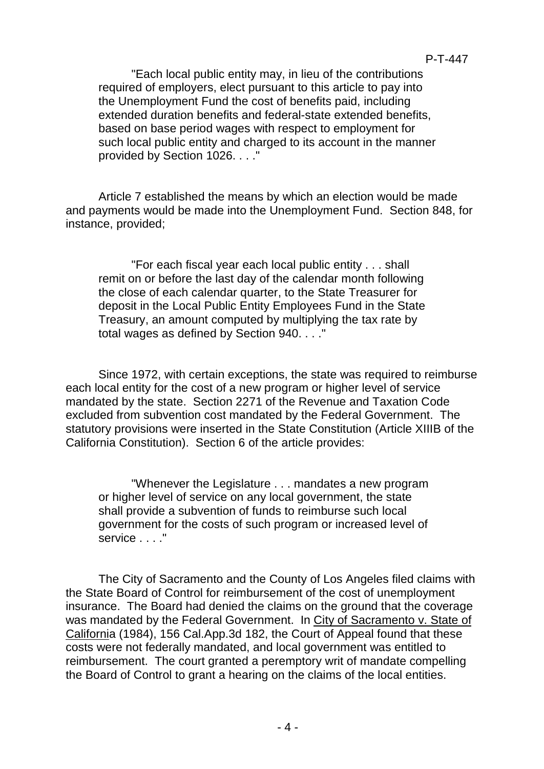"Each local public entity may, in lieu of the contributions required of employers, elect pursuant to this article to pay into the Unemployment Fund the cost of benefits paid, including extended duration benefits and federal-state extended benefits, based on base period wages with respect to employment for such local public entity and charged to its account in the manner provided by Section 1026. . . ."

Article 7 established the means by which an election would be made and payments would be made into the Unemployment Fund. Section 848, for instance, provided;

"For each fiscal year each local public entity . . . shall remit on or before the last day of the calendar month following the close of each calendar quarter, to the State Treasurer for deposit in the Local Public Entity Employees Fund in the State Treasury, an amount computed by multiplying the tax rate by total wages as defined by Section 940. . . ."

Since 1972, with certain exceptions, the state was required to reimburse each local entity for the cost of a new program or higher level of service mandated by the state. Section 2271 of the Revenue and Taxation Code excluded from subvention cost mandated by the Federal Government. The statutory provisions were inserted in the State Constitution (Article XIIIB of the California Constitution). Section 6 of the article provides:

"Whenever the Legislature . . . mandates a new program or higher level of service on any local government, the state shall provide a subvention of funds to reimburse such local government for the costs of such program or increased level of service . . . ."

The City of Sacramento and the County of Los Angeles filed claims with the State Board of Control for reimbursement of the cost of unemployment insurance. The Board had denied the claims on the ground that the coverage was mandated by the Federal Government. In City of Sacramento v. State of California (1984), 156 Cal.App.3d 182, the Court of Appeal found that these costs were not federally mandated, and local government was entitled to reimbursement. The court granted a peremptory writ of mandate compelling the Board of Control to grant a hearing on the claims of the local entities.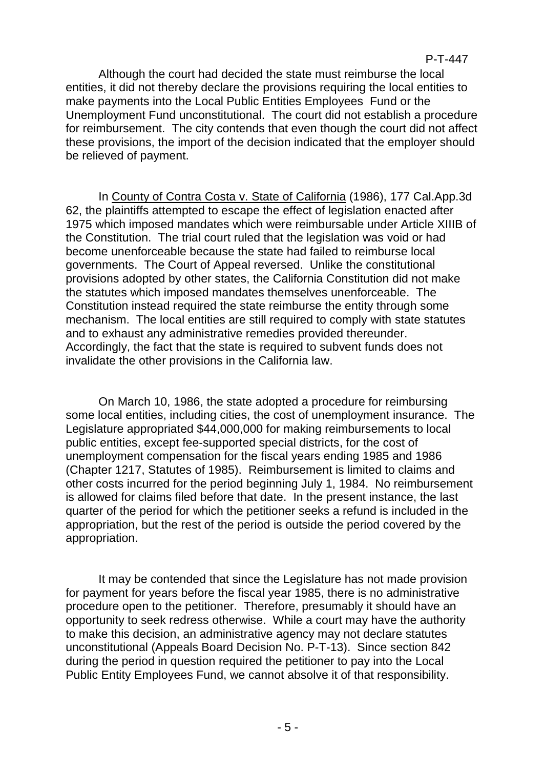Although the court had decided the state must reimburse the local entities, it did not thereby declare the provisions requiring the local entities to make payments into the Local Public Entities Employees Fund or the Unemployment Fund unconstitutional. The court did not establish a procedure for reimbursement. The city contends that even though the court did not affect these provisions, the import of the decision indicated that the employer should be relieved of payment.

In County of Contra Costa v. State of California (1986), 177 Cal.App.3d 62, the plaintiffs attempted to escape the effect of legislation enacted after 1975 which imposed mandates which were reimbursable under Article XIIIB of the Constitution. The trial court ruled that the legislation was void or had become unenforceable because the state had failed to reimburse local governments. The Court of Appeal reversed. Unlike the constitutional provisions adopted by other states, the California Constitution did not make the statutes which imposed mandates themselves unenforceable. The Constitution instead required the state reimburse the entity through some mechanism. The local entities are still required to comply with state statutes and to exhaust any administrative remedies provided thereunder. Accordingly, the fact that the state is required to subvent funds does not invalidate the other provisions in the California law.

On March 10, 1986, the state adopted a procedure for reimbursing some local entities, including cities, the cost of unemployment insurance. The Legislature appropriated \$44,000,000 for making reimbursements to local public entities, except fee-supported special districts, for the cost of unemployment compensation for the fiscal years ending 1985 and 1986 (Chapter 1217, Statutes of 1985). Reimbursement is limited to claims and other costs incurred for the period beginning July 1, 1984. No reimbursement is allowed for claims filed before that date. In the present instance, the last quarter of the period for which the petitioner seeks a refund is included in the appropriation, but the rest of the period is outside the period covered by the appropriation.

It may be contended that since the Legislature has not made provision for payment for years before the fiscal year 1985, there is no administrative procedure open to the petitioner. Therefore, presumably it should have an opportunity to seek redress otherwise. While a court may have the authority to make this decision, an administrative agency may not declare statutes unconstitutional (Appeals Board Decision No. P-T-13). Since section 842 during the period in question required the petitioner to pay into the Local Public Entity Employees Fund, we cannot absolve it of that responsibility.